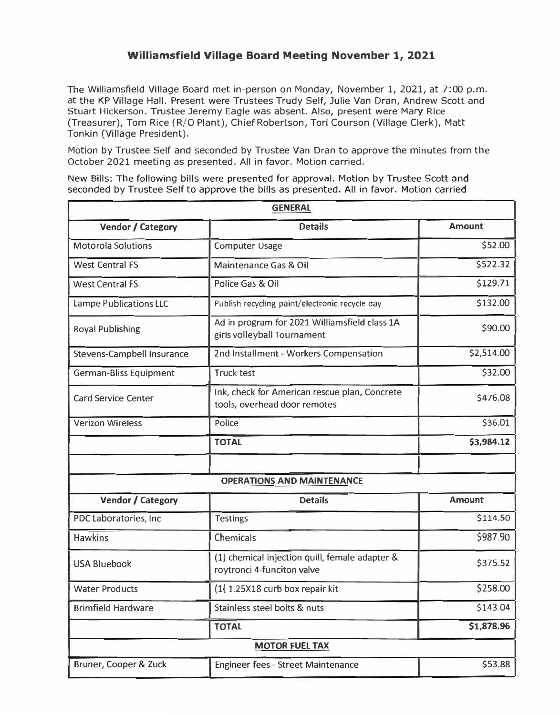## **Williamsfield Village Board Meeting November 1, 2021**

The Williamsfield Village Board met in-person on Monday, November 1, 2021, at 7:00 p.m. at the KP Village Hall. Present were Trustees Trudy Self, Julie Van Dran, Andrew Scott and Stuart Hickerson. Trustee Jeremy Eagle was absent. Also, present were Mary Rice (Treasurer), Tom Rice (R/0 Plant), Chief Robertson, Tori Courson (Village Clerk), Matt Tonkin (Village President).

Motion by Trustee Self and seconded by Trustee Van Oran to approve the minutes from the October 2021 meeting as presented. All in favor. Motion carried.

New Bills: The following bills were presented for approval. Motion by Trustee Scott and seconded by Trustee Self to approve the bills as presented. All in favor. Motion carried

| <b>GENERAL</b>                    |                                                                               |               |  |  |
|-----------------------------------|-------------------------------------------------------------------------------|---------------|--|--|
| <b>Vendor / Category</b>          | <b>Details</b>                                                                | <b>Amount</b> |  |  |
| <b>Motorola Solutions</b>         | Computer Usage                                                                | \$52.00       |  |  |
| <b>West Central FS</b>            | Maintenance Gas & Oil                                                         | \$522.32      |  |  |
| <b>West Central FS</b>            | Police Gas & Oil                                                              | \$129.71      |  |  |
| Lampe Publications LLC            | Publish recycling paint/electronic recycle day                                | \$132.00      |  |  |
| <b>Royal Publishing</b>           | Ad in program for 2021 Williamsfield class 1A<br>girls volleyball Tournament  | \$90.00       |  |  |
| <b>Stevens-Campbell Insurance</b> | 2nd Installment - Workers Compensation                                        | \$2,514.00    |  |  |
| German-Bliss Equipment            | <b>Truck test</b>                                                             | \$32.00       |  |  |
| <b>Card Service Center</b>        | Ink, check for American rescue plan, Concrete<br>tools, overhead door remotes | \$476.08      |  |  |
| <b>Verizon Wireless</b>           | Police                                                                        | \$36.01       |  |  |
|                                   | <b>TOTAL</b>                                                                  | \$3,984.12    |  |  |
|                                   |                                                                               |               |  |  |
|                                   | <b>OPERATIONS AND MAINTENANCE</b>                                             |               |  |  |
| <b>Vendor / Category</b>          | <b>Details</b>                                                                | <b>Amount</b> |  |  |
| PDC Laboratories, Inc.            | <b>Testings</b>                                                               | \$114.50      |  |  |
| <b>Hawkins</b>                    | Chemicals                                                                     | \$987.90      |  |  |
| <b>USA Bluebook</b>               | (1) chemical injection quill, female adapter &<br>roytronci 4-funciton valve  | \$375.52      |  |  |
| <b>Water Products</b>             | (1) 1.25X18 curb box repair kit                                               | \$258.00      |  |  |
| <b>Brimfield Hardware</b>         | Stainless steel bolts & nuts                                                  | \$143.04      |  |  |
|                                   | <b>TOTAL</b>                                                                  | \$1,878.96    |  |  |
| <b>MOTOR FUEL TAX</b>             |                                                                               |               |  |  |
| Bruner, Cooper & Zuck             | Engineer fees - Street Maintenance                                            | \$53.88       |  |  |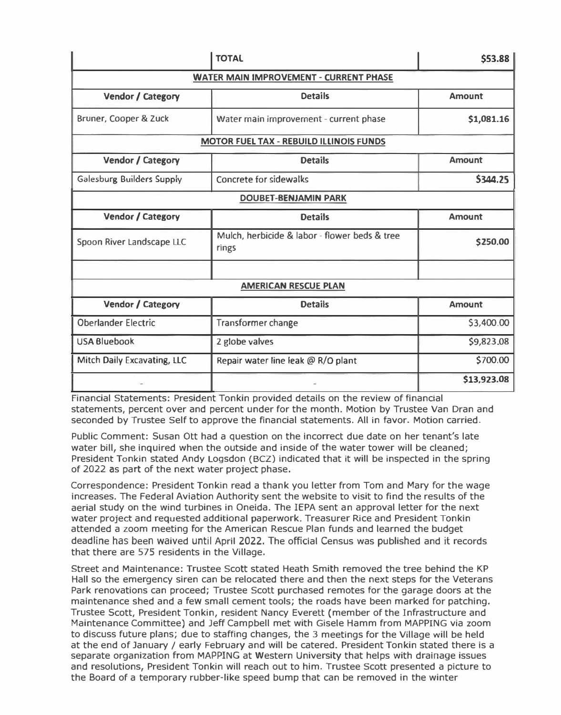|                                                | <b>TOTAL</b>                                           | \$53.88       |  |  |
|------------------------------------------------|--------------------------------------------------------|---------------|--|--|
| <b>WATER MAIN IMPROVEMENT - CURRENT PHASE</b>  |                                                        |               |  |  |
| Vendor / Category                              | <b>Details</b>                                         | <b>Amount</b> |  |  |
| Bruner, Cooper & Zuck                          | Water main improvement - current phase                 | \$1,081.16    |  |  |
| <b>MOTOR FUEL TAX - REBUILD ILLINOIS FUNDS</b> |                                                        |               |  |  |
| Vendor / Category                              | <b>Details</b>                                         | <b>Amount</b> |  |  |
| <b>Galesburg Builders Supply</b>               | Concrete for sidewalks                                 | 5344.25       |  |  |
| <b>DOUBET-BENJAMIN PARK</b>                    |                                                        |               |  |  |
| <b>Vendor / Category</b>                       | <b>Details</b>                                         | <b>Amount</b> |  |  |
| Spoon River Landscape LLC                      | Mulch, herbicide & labor - flower beds & tree<br>rings | \$250.00      |  |  |
|                                                |                                                        |               |  |  |
| <b>AMERICAN RESCUE PLAN</b>                    |                                                        |               |  |  |
| Vendor / Category                              | <b>Details</b>                                         | <b>Amount</b> |  |  |
| <b>Oberlander Electric</b>                     | Transformer change                                     | \$3,400.00    |  |  |
| <b>USA Bluebook</b>                            | 2 globe valves                                         | \$9,823.08    |  |  |
| Mitch Daily Excavating, LLC                    | Repair water line leak @ R/O plant                     | \$700.00      |  |  |
|                                                |                                                        | \$13,923.08   |  |  |

Financial Statements: President Tonkin provided details on the review of financial statements, percent over and percent under for the month. Motion by Trustee Van Dran and seconded by Trustee Self to approve the financial statements. All in favor. Motion carried.

Public Comment: Susan Ott had a question on the incorrect due date on her tenant's late water bill, she inquired when the outside and inside of the water tower will be cleaned; President Tonkin stated Andy Logsdon (BCZ) indicated that it will be inspected in the spring of 2022 as part of the next water project phase.

Correspondence: President Tonkin read a thank you letter from Tom and Mary for the wage increases. The Federal Aviation Authority sent the website to visit to find the results of the aerial study on the wind turbines in Oneida. The !EPA sent an approval letter for the next water project and requested additional paperwork. Treasurer Rice and President Tonkin attended a zoom meeting for the American Rescue Plan funds and learned the budget deadline has been waived until April 2022. The official Census was published and it records that there are 575 residents in the Village.

Street and Maintenance: Trustee Scott stated Heath Smith removed the tree behind the KP Hall so the emergency siren can be relocated there and then the next steps for the Veterans Park renovations can proceed; Trustee Scott purchased remotes for the garage doors at the maintenance shed and a few small cement tools; the roads have been marked for patching. Trustee Scott, President Tonkin, resident Nancy Everett (member of the Infrastructure and Maintenance Committee) and Jeff Campbell met with Gisele Hamm from MAPPING via zoom to discuss future plans; due to staffing changes, the 3 meetings for the Village will be held at the end of January/ early February and will be catered. President Tonkin stated there is a separate organization from MAPPING at Western University that helps with drainage issues and resolutions, President Tonkin will reach out to him. Trustee Scott presented a picture to the Board of a temporary rubber-like speed bump that can be removed in the winter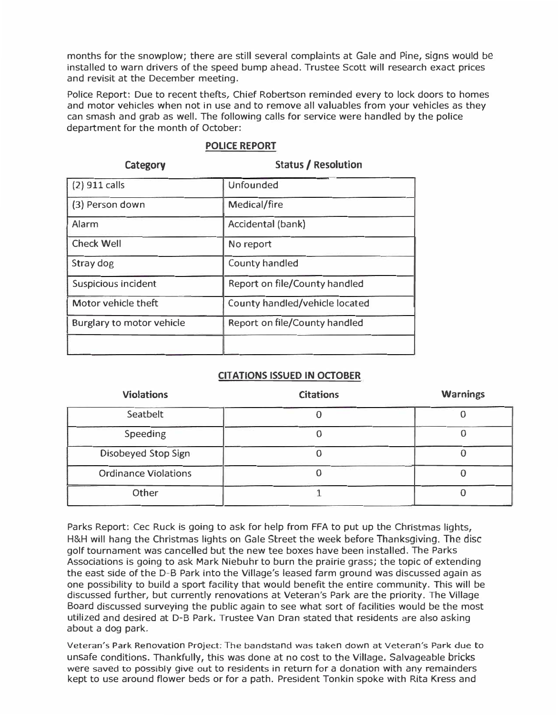months for the snowplow; there are still several complaints at Gale and Pine, signs would be installed to warn drivers of the speed bump ahead. Trustee Scott will research exact prices and revisit at the December meeting.

Police Report: Due to recent thefts, Chief Robertson reminded every to lock doors to homes and motor vehicles when not in use and to remove all valuables from your vehicles as they can smash and grab as well. The following calls for service were handled by the police department for the month of October:

| Category                  | <b>Status / Resolution</b>     |
|---------------------------|--------------------------------|
| $(2)$ 911 calls           | <b>Unfounded</b>               |
| (3) Person down           | Medical/fire                   |
| Alarm                     | Accidental (bank)              |
| <b>Check Well</b>         | No report                      |
| Stray dog                 | County handled                 |
| Suspicious incident       | Report on file/County handled  |
| Motor vehicle theft       | County handled/vehicle located |
| Burglary to motor vehicle | Report on file/County handled  |
|                           |                                |
|                           |                                |

## **POLICE REPORT**

## **CITATIONS ISSUED IN OCTOBER**

| <b>Violations</b>           | <b>Citations</b> | <b>Warnings</b> |
|-----------------------------|------------------|-----------------|
| Seatbelt                    |                  |                 |
| Speeding                    |                  |                 |
| Disobeyed Stop Sign         |                  |                 |
| <b>Ordinance Violations</b> |                  |                 |
| Other                       |                  |                 |

Parks Report: Cec Ruck is going to ask for help from FFA to put up the Christmas lights, H&H will hang the Christmas lights on Gale Street the week before Thanksgiving. The disc golf tournament was cancelled but the new tee boxes have been installed. The Parks Associations is going to ask Mark Niebuhr to burn the prairie grass; the topic of extending the east side of the 0-B Park into the Village's leased farm ground was discussed again as one possibility to build a sport facility that would benefit the entire community. This will be discussed further, but currently renovations at Veteran's Park are the priority. The Village Board discussed surveying the public again to see what sort of facilities would be the most utilized and desired at D-B Park. Trustee Van Oran stated that residents are also asking about a dog park.

Veteran's Park Renovation Project: The bandstand was taken down at Veteran's Park due to unsafe conditions. Thankfully, this was done at no cost to the Village. Salvageable bricks were saved to possibly give out to residents in return for a donation with any remainders kept to use around flower beds or for a path. President Tonkin spoke with Rita Kress and